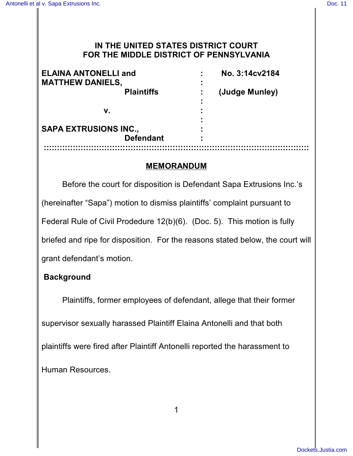## **IN THE UNITED STATES DISTRICT COURT FOR THE MIDDLE DISTRICT OF PENNSYLVANIA**

| <b>ELAINA ANTONELLI and</b><br><b>MATTHEW DANIELS,</b> | No. 3:14cv2184 |
|--------------------------------------------------------|----------------|
| <b>Plaintiffs</b>                                      | (Judge Munley) |
| v.                                                     |                |
| <b>SAPA EXTRUSIONS INC.,</b>                           |                |
| <b>Defendant</b>                                       |                |
|                                                        |                |

## **MEMORANDUM**

Before the court for disposition is Defendant Sapa Extrusions Inc.'s (hereinafter "Sapa") motion to dismiss plaintiffs' complaint pursuant to Federal Rule of Civil Prodedure 12(b)(6). (Doc. 5). This motion is fully briefed and ripe for disposition. For the reasons stated below, the court will grant defendant's motion.

# **Background**

Plaintiffs, former employees of defendant, allege that their former supervisor sexually harassed Plaintiff Elaina Antonelli and that both plaintiffs were fired after Plaintiff Antonelli reported the harassment to Human Resources.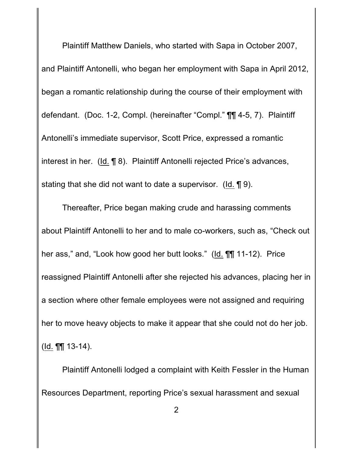Plaintiff Matthew Daniels, who started with Sapa in October 2007, and Plaintiff Antonelli, who began her employment with Sapa in April 2012, began a romantic relationship during the course of their employment with defendant. (Doc. 1-2, Compl. (hereinafter "Compl." ¶¶ 4-5, 7). Plaintiff Antonelli's immediate supervisor, Scott Price, expressed a romantic interest in her. (Id. ¶ 8). Plaintiff Antonelli rejected Price's advances, stating that she did not want to date a supervisor. (Id. ¶ 9).

Thereafter, Price began making crude and harassing comments about Plaintiff Antonelli to her and to male co-workers, such as, "Check out her ass," and, "Look how good her butt looks." (Id. ¶¶ 11-12). Price reassigned Plaintiff Antonelli after she rejected his advances, placing her in a section where other female employees were not assigned and requiring her to move heavy objects to make it appear that she could not do her job. (Id. ¶¶ 13-14).

Plaintiff Antonelli lodged a complaint with Keith Fessler in the Human Resources Department, reporting Price's sexual harassment and sexual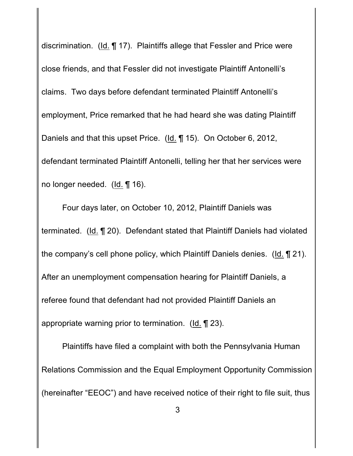discrimination. (Id. ¶ 17). Plaintiffs allege that Fessler and Price were close friends, and that Fessler did not investigate Plaintiff Antonelli's claims. Two days before defendant terminated Plaintiff Antonelli's employment, Price remarked that he had heard she was dating Plaintiff Daniels and that this upset Price. (Id. ¶ 15). On October 6, 2012, defendant terminated Plaintiff Antonelli, telling her that her services were no longer needed. (Id. ¶ 16).

Four days later, on October 10, 2012, Plaintiff Daniels was terminated. (Id. ¶ 20). Defendant stated that Plaintiff Daniels had violated the company's cell phone policy, which Plaintiff Daniels denies. (Id. ¶ 21). After an unemployment compensation hearing for Plaintiff Daniels, a referee found that defendant had not provided Plaintiff Daniels an appropriate warning prior to termination. (Id. ¶ 23).

Plaintiffs have filed a complaint with both the Pennsylvania Human Relations Commission and the Equal Employment Opportunity Commission (hereinafter "EEOC") and have received notice of their right to file suit, thus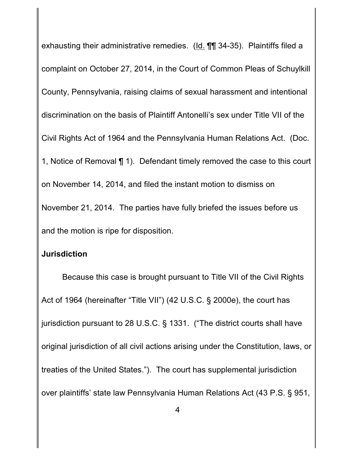exhausting their administrative remedies. (Id. ¶¶ 34-35). Plaintiffs filed a complaint on October 27, 2014, in the Court of Common Pleas of Schuylkill County, Pennsylvania, raising claims of sexual harassment and intentional discrimination on the basis of Plaintiff Antonelli's sex under Title VII of the Civil Rights Act of 1964 and the Pennsylvania Human Relations Act. (Doc. 1, Notice of Removal ¶ 1). Defendant timely removed the case to this court on November 14, 2014, and filed the instant motion to dismiss on November 21, 2014. The parties have fully briefed the issues before us and the motion is ripe for disposition.

#### **Jurisdiction**

Because this case is brought pursuant to Title VII of the Civil Rights Act of 1964 (hereinafter "Title VII") (42 U.S.C. § 2000e), the court has jurisdiction pursuant to 28 U.S.C. § 1331. ("The district courts shall have original jurisdiction of all civil actions arising under the Constitution, laws, or treaties of the United States."). The court has supplemental jurisdiction over plaintiffs' state law Pennsylvania Human Relations Act (43 P.S. § 951,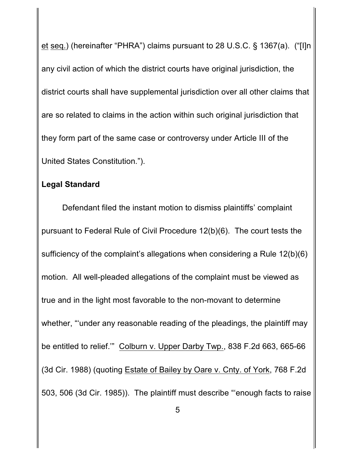et seq.) (hereinafter "PHRA") claims pursuant to 28 U.S.C. § 1367(a). ("[I]n any civil action of which the district courts have original jurisdiction, the district courts shall have supplemental jurisdiction over all other claims that are so related to claims in the action within such original jurisdiction that they form part of the same case or controversy under Article III of the United States Constitution.").

## **Legal Standard**

Defendant filed the instant motion to dismiss plaintiffs' complaint pursuant to Federal Rule of Civil Procedure 12(b)(6). The court tests the sufficiency of the complaint's allegations when considering a Rule 12(b)(6) motion. All well-pleaded allegations of the complaint must be viewed as true and in the light most favorable to the non-movant to determine whether, "under any reasonable reading of the pleadings, the plaintiff may be entitled to relief.'" Colburn v. Upper Darby Twp., 838 F.2d 663, 665-66 (3d Cir. 1988) (quoting Estate of Bailey by Oare v. Cnty. of York, 768 F.2d 503, 506 (3d Cir. 1985)). The plaintiff must describe "'enough facts to raise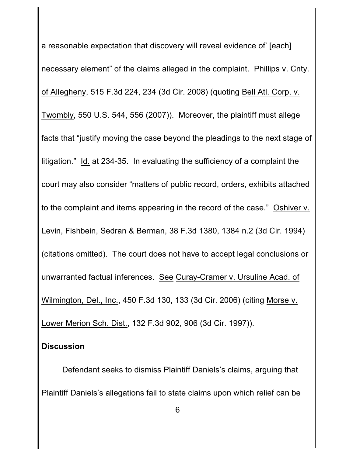a reasonable expectation that discovery will reveal evidence of' [each] necessary element" of the claims alleged in the complaint. Phillips v. Cnty. of Allegheny, 515 F.3d 224, 234 (3d Cir. 2008) (quoting Bell Atl. Corp. v. Twombly, 550 U.S. 544, 556 (2007)). Moreover, the plaintiff must allege facts that "justify moving the case beyond the pleadings to the next stage of litigation." Id. at 234-35. In evaluating the sufficiency of a complaint the court may also consider "matters of public record, orders, exhibits attached to the complaint and items appearing in the record of the case." Oshiver v. Levin, Fishbein, Sedran & Berman, 38 F.3d 1380, 1384 n.2 (3d Cir. 1994) (citations omitted). The court does not have to accept legal conclusions or unwarranted factual inferences. See Curay-Cramer v. Ursuline Acad. of Wilmington, Del., Inc., 450 F.3d 130, 133 (3d Cir. 2006) (citing Morse v. Lower Merion Sch. Dist., 132 F.3d 902, 906 (3d Cir. 1997)).

# **Discussion**

Defendant seeks to dismiss Plaintiff Daniels's claims, arguing that Plaintiff Daniels's allegations fail to state claims upon which relief can be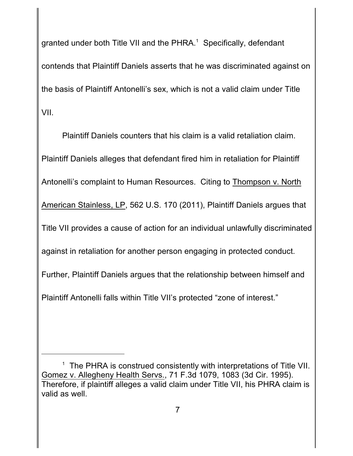granted under both Title VII and the PHRA. $^1$  Specifically, defendant contends that Plaintiff Daniels asserts that he was discriminated against on the basis of Plaintiff Antonelli's sex, which is not a valid claim under Title VII.

Plaintiff Daniels counters that his claim is a valid retaliation claim. Plaintiff Daniels alleges that defendant fired him in retaliation for Plaintiff Antonelli's complaint to Human Resources. Citing to Thompson v. North American Stainless, LP, 562 U.S. 170 (2011), Plaintiff Daniels argues that Title VII provides a cause of action for an individual unlawfully discriminated against in retaliation for another person engaging in protected conduct. Further, Plaintiff Daniels argues that the relationship between himself and Plaintiff Antonelli falls within Title VII's protected "zone of interest."

<sup>&</sup>lt;sup>1</sup> The PHRA is construed consistently with interpretations of Title VII. Gomez v. Allegheny Health Servs., 71 F.3d 1079, 1083 (3d Cir. 1995). Therefore, if plaintiff alleges a valid claim under Title VII, his PHRA claim is valid as well.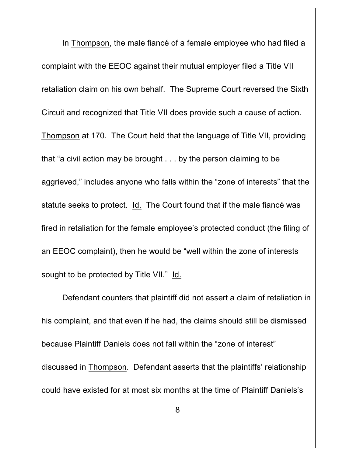In Thompson, the male fiancé of a female employee who had filed a complaint with the EEOC against their mutual employer filed a Title VII retaliation claim on his own behalf. The Supreme Court reversed the Sixth Circuit and recognized that Title VII does provide such a cause of action. Thompson at 170. The Court held that the language of Title VII, providing that "a civil action may be brought . . . by the person claiming to be aggrieved," includes anyone who falls within the "zone of interests" that the statute seeks to protect. Id. The Court found that if the male fiancé was fired in retaliation for the female employee's protected conduct (the filing of an EEOC complaint), then he would be "well within the zone of interests sought to be protected by Title VII." Id.

Defendant counters that plaintiff did not assert a claim of retaliation in his complaint, and that even if he had, the claims should still be dismissed because Plaintiff Daniels does not fall within the "zone of interest" discussed in Thompson. Defendant asserts that the plaintiffs' relationship could have existed for at most six months at the time of Plaintiff Daniels's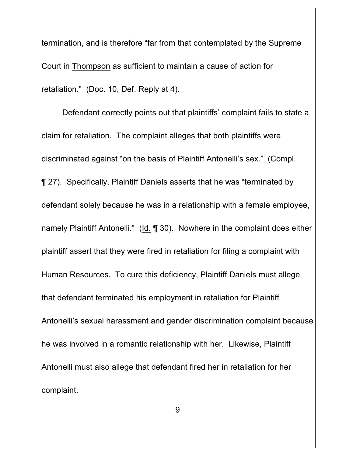termination, and is therefore "far from that contemplated by the Supreme Court in Thompson as sufficient to maintain a cause of action for retaliation." (Doc. 10, Def. Reply at 4).

Defendant correctly points out that plaintiffs' complaint fails to state a claim for retaliation. The complaint alleges that both plaintiffs were discriminated against "on the basis of Plaintiff Antonelli's sex." (Compl. ¶ 27). Specifically, Plaintiff Daniels asserts that he was "terminated by defendant solely because he was in a relationship with a female employee, namely Plaintiff Antonelli." (Id. ¶ 30). Nowhere in the complaint does either plaintiff assert that they were fired in retaliation for filing a complaint with Human Resources. To cure this deficiency, Plaintiff Daniels must allege that defendant terminated his employment in retaliation for Plaintiff Antonelli's sexual harassment and gender discrimination complaint because he was involved in a romantic relationship with her. Likewise, Plaintiff Antonelli must also allege that defendant fired her in retaliation for her complaint.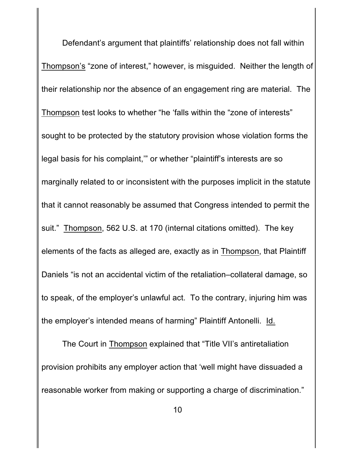Defendant's argument that plaintiffs' relationship does not fall within Thompson's "zone of interest," however, is misguided. Neither the length of their relationship nor the absence of an engagement ring are material. The Thompson test looks to whether "he 'falls within the "zone of interests" sought to be protected by the statutory provision whose violation forms the legal basis for his complaint,'" or whether "plaintiff's interests are so marginally related to or inconsistent with the purposes implicit in the statute that it cannot reasonably be assumed that Congress intended to permit the suit." Thompson, 562 U.S. at 170 (internal citations omitted). The key elements of the facts as alleged are, exactly as in Thompson, that Plaintiff Daniels "is not an accidental victim of the retaliation–collateral damage, so to speak, of the employer's unlawful act. To the contrary, injuring him was the employer's intended means of harming" Plaintiff Antonelli. Id.

The Court in Thompson explained that "Title VII's antiretaliation provision prohibits any employer action that 'well might have dissuaded a reasonable worker from making or supporting a charge of discrimination."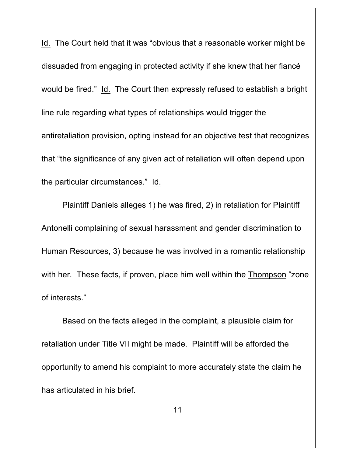Id. The Court held that it was "obvious that a reasonable worker might be dissuaded from engaging in protected activity if she knew that her fiancé would be fired." Id. The Court then expressly refused to establish a bright line rule regarding what types of relationships would trigger the antiretaliation provision, opting instead for an objective test that recognizes that "the significance of any given act of retaliation will often depend upon the particular circumstances." Id.

Plaintiff Daniels alleges 1) he was fired, 2) in retaliation for Plaintiff Antonelli complaining of sexual harassment and gender discrimination to Human Resources, 3) because he was involved in a romantic relationship with her. These facts, if proven, place him well within the Thompson "zone of interests."

Based on the facts alleged in the complaint, a plausible claim for retaliation under Title VII might be made. Plaintiff will be afforded the opportunity to amend his complaint to more accurately state the claim he has articulated in his brief.